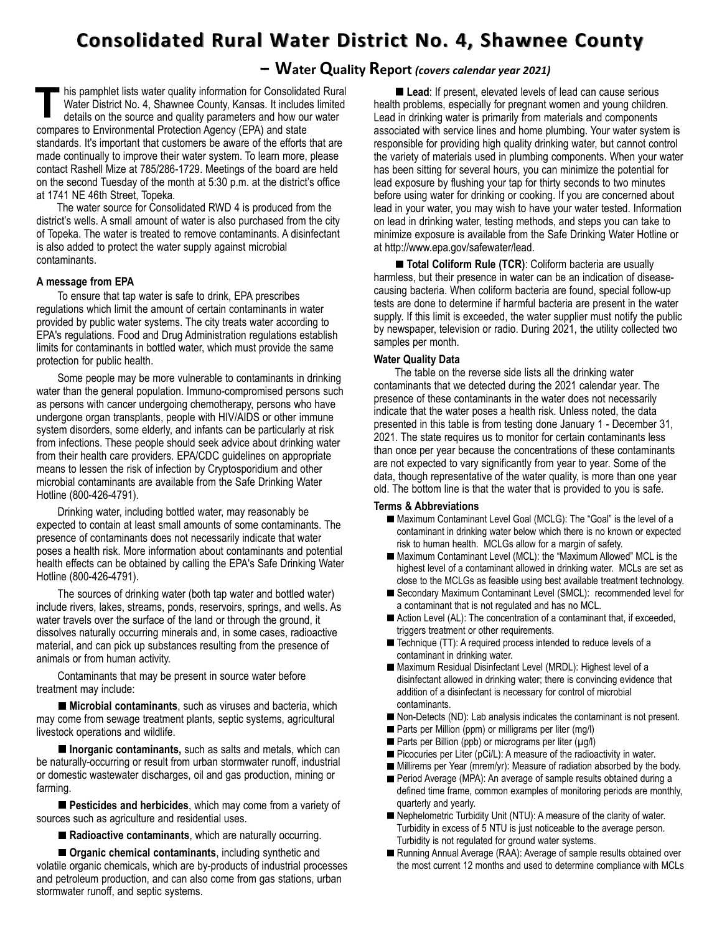# **Consolidated Rural Water District No. 4, Shawnee County**

### **-- Water Quality Report** *(covers calendar year 2021)*

his pamphlet lists water quality information for Consolidated Rural Water District No. 4, Shawnee County, Kansas. It includes limited details on the source and quality parameters and how our water compares to Environmental Protection Agency (EPA) and state standards. It's important that customers be aware of the efforts that are made continually to improve their water system. To learn more, please contact Rashell Mize at 785/286-1729. Meetings of the board are held on the second Tuesday of the month at 5:30 p.m. at the district's office at 1741 NE 46th Street, Topeka. **T**

The water source for Consolidated RWD 4 is produced from the district's wells. A small amount of water is also purchased from the city of Topeka. The water is treated to remove contaminants. A disinfectant is also added to protect the water supply against microbial contaminants.

#### **A message from EPA**

To ensure that tap water is safe to drink, EPA prescribes regulations which limit the amount of certain contaminants in water provided by public water systems. The city treats water according to EPA's regulations. Food and Drug Administration regulations establish limits for contaminants in bottled water, which must provide the same protection for public health.

Some people may be more vulnerable to contaminants in drinking water than the general population. Immuno-compromised persons such as persons with cancer undergoing chemotherapy, persons who have undergone organ transplants, people with HIV/AIDS or other immune system disorders, some elderly, and infants can be particularly at risk from infections. These people should seek advice about drinking water from their health care providers. EPA/CDC guidelines on appropriate means to lessen the risk of infection by Cryptosporidium and other microbial contaminants are available from the Safe Drinking Water Hotline (800-426-4791).

Drinking water, including bottled water, may reasonably be expected to contain at least small amounts of some contaminants. The presence of contaminants does not necessarily indicate that water poses a health risk. More information about contaminants and potential health effects can be obtained by calling the EPA's Safe Drinking Water Hotline (800-426-4791).

The sources of drinking water (both tap water and bottled water) include rivers, lakes, streams, ponds, reservoirs, springs, and wells. As water travels over the surface of the land or through the ground, it dissolves naturally occurring minerals and, in some cases, radioactive material, and can pick up substances resulting from the presence of animals or from human activity.

Contaminants that may be present in source water before treatment may include:

**Microbial contaminants**, such as viruses and bacteria, which may come from sewage treatment plants, septic systems, agricultural livestock operations and wildlife.

**Inorganic contaminants,** such as salts and metals, which can be naturally-occurring or result from urban stormwater runoff, industrial or domestic wastewater discharges, oil and gas production, mining or farming.

**Pesticides and herbicides**, which may come from a variety of sources such as agriculture and residential uses.

**Radioactive contaminants**, which are naturally occurring.

**Organic chemical contaminants**, including synthetic and volatile organic chemicals, which are by-products of industrial processes and petroleum production, and can also come from gas stations, urban stormwater runoff, and septic systems.

**Lead:** If present, elevated levels of lead can cause serious health problems, especially for pregnant women and young children. Lead in drinking water is primarily from materials and components associated with service lines and home plumbing. Your water system is responsible for providing high quality drinking water, but cannot control the variety of materials used in plumbing components. When your water has been sitting for several hours, you can minimize the potential for lead exposure by flushing your tap for thirty seconds to two minutes before using water for drinking or cooking. If you are concerned about lead in your water, you may wish to have your water tested. Information on lead in drinking water, testing methods, and steps you can take to minimize exposure is available from the Safe Drinking Water Hotline or at http://www.epa.gov/safewater/lead.

■ Total Coliform Rule (TCR): Coliform bacteria are usually harmless, but their presence in water can be an indication of diseasecausing bacteria. When coliform bacteria are found, special follow-up tests are done to determine if harmful bacteria are present in the water supply. If this limit is exceeded, the water supplier must notify the public by newspaper, television or radio. During 2021, the utility collected two samples per month.

#### **Water Quality Data**

The table on the reverse side lists all the drinking water contaminants that we detected during the 2021 calendar year. The presence of these contaminants in the water does not necessarily indicate that the water poses a health risk. Unless noted, the data presented in this table is from testing done January 1 - December 31, 2021. The state requires us to monitor for certain contaminants less than once per year because the concentrations of these contaminants are not expected to vary significantly from year to year. Some of the data, though representative of the water quality, is more than one year old. The bottom line is that the water that is provided to you is safe.

#### **Terms & Abbreviations**

- Maximum Contaminant Level Goal (MCLG): The "Goal" is the level of a contaminant in drinking water below which there is no known or expected risk to human health. MCLGs allow for a margin of safety.
- Maximum Contaminant Level (MCL): the "Maximum Allowed" MCL is the highest level of a contaminant allowed in drinking water. MCLs are set as close to the MCLGs as feasible using best available treatment technology.
- Secondary Maximum Contaminant Level (SMCL): recommended level for a contaminant that is not regulated and has no MCL.
- Action Level (AL): The concentration of a contaminant that, if exceeded, triggers treatment or other requirements.
- Technique (TT): A required process intended to reduce levels of a contaminant in drinking water.
- Maximum Residual Disinfectant Level (MRDL): Highest level of a disinfectant allowed in drinking water; there is convincing evidence that addition of a disinfectant is necessary for control of microbial contaminants.
- Non-Detects (ND): Lab analysis indicates the contaminant is not present.
- Parts per Million (ppm) or milligrams per liter (mg/l)
- $\blacksquare$  Parts per Billion (ppb) or micrograms per liter ( $\mu$ g/l)
- Picocuries per Liter (pCi/L): A measure of the radioactivity in water.
- Millirems per Year (mrem/yr): Measure of radiation absorbed by the body.
- Period Average (MPA): An average of sample results obtained during a defined time frame, common examples of monitoring periods are monthly, quarterly and yearly.
- Nephelometric Turbidity Unit (NTU): A measure of the clarity of water. Turbidity in excess of 5 NTU is just noticeable to the average person. Turbidity is not regulated for ground water systems.
- Running Annual Average (RAA): Average of sample results obtained over the most current 12 months and used to determine compliance with MCLs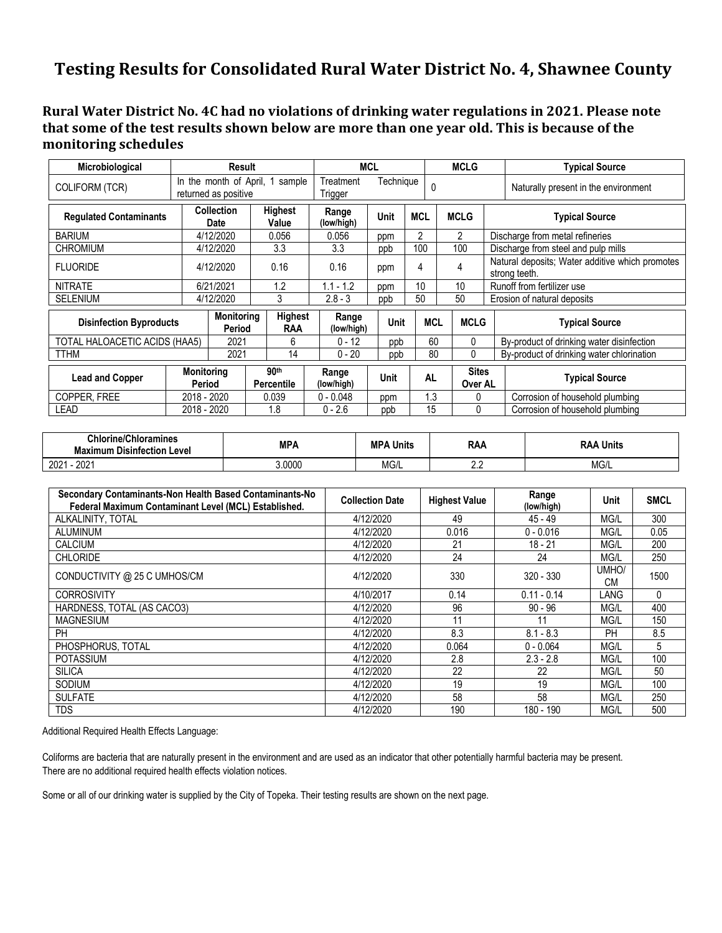## **Testing Results for Consolidated Rural Water District No. 4, Shawnee County**

### **Rural Water District No. 4C had no violations of drinking water regulations in 2021. Please note that some of the test results shown below are more than one year old. This is because of the monitoring schedules**

| Microbiological                                                    |                             | Result                                               |                                       | <b>MCL</b>           |             |            |                           | <b>MCLG</b>             |                                 | <b>Typical Source</b>                                            |
|--------------------------------------------------------------------|-----------------------------|------------------------------------------------------|---------------------------------------|----------------------|-------------|------------|---------------------------|-------------------------|---------------------------------|------------------------------------------------------------------|
| In the month of April, 1<br>COLIFORM (TCR)<br>returned as positive |                             |                                                      | sample                                | Treatment<br>Trigger | Technique   |            | $\Omega$                  |                         |                                 | Naturally present in the environment                             |
| <b>Requlated Contaminants</b>                                      |                             | <b>Collection</b><br><b>Date</b>                     | Highest<br>Value                      | Range<br>(low/high)  | <b>Unit</b> | <b>MCL</b> |                           | <b>MCLG</b>             | <b>Typical Source</b>           |                                                                  |
| <b>BARIUM</b>                                                      |                             | 4/12/2020                                            | 0.056                                 | 0.056                | ppm         | 2          |                           | 2                       |                                 | Discharge from metal refineries                                  |
| <b>CHROMIUM</b>                                                    |                             | 4/12/2020                                            | 3.3                                   | 3.3                  | ppb         | 100        |                           | 100                     |                                 | Discharge from steel and pulp mills                              |
| <b>FLUORIDE</b>                                                    |                             | 4/12/2020                                            | 0.16                                  | 0.16                 | ppm         | 4          |                           | 4                       |                                 | Natural deposits; Water additive which promotes<br>strong teeth. |
| <b>NITRATE</b>                                                     |                             | 6/21/2021                                            | 1.2                                   | $1.1 - 1.2$          | ppm         | 10         |                           | 10                      | Runoff from fertilizer use      |                                                                  |
| <b>SELENIUM</b>                                                    |                             | 4/12/2020                                            | 3                                     | $2.8 - 3$            | ppb         | 50         |                           | 50                      | Erosion of natural deposits     |                                                                  |
| <b>Disinfection Byproducts</b>                                     |                             | <b>Monitoring</b><br><b>Highest</b><br>Period<br>RAA |                                       | Range<br>(low/high)  | Unit        |            | <b>MCL</b><br><b>MCLG</b> |                         |                                 | <b>Typical Source</b>                                            |
| TOTAL HALOACETIC ACIDS (HAA5)                                      |                             | 2021                                                 | 6                                     | $0 - 12$             | ppb         |            | 60                        | 0                       |                                 | By-product of drinking water disinfection                        |
| <b>TTHM</b>                                                        |                             | 2021                                                 | 14                                    | $0 - 20$             | ppb         |            | 80                        | 0                       |                                 | By-product of drinking water chlorination                        |
| <b>Lead and Copper</b>                                             | <b>Monitoring</b><br>Period |                                                      | 90 <sup>th</sup><br><b>Percentile</b> | Range<br>(low/high)  | <b>Unit</b> |            | <b>AL</b>                 | <b>Sites</b><br>Over AL |                                 | <b>Typical Source</b>                                            |
| COPPER, FREE                                                       | 2018 - 2020                 |                                                      | 0.039                                 | $0 - 0.048$          | ppm         |            | 1.3                       | 0                       |                                 | Corrosion of household plumbing                                  |
| LEAD                                                               | 2018 - 2020                 |                                                      | 1.8                                   | $0 - 2.6$            | ppb         |            | 15<br>0                   |                         | Corrosion of household plumbing |                                                                  |

| <b>Chlorine/Chloramines</b><br>Maximum<br>Level<br>Disinfection | <b>MPA</b> | <b>MPA</b><br>∖ Units | KAA      | . Units<br>RAA |
|-----------------------------------------------------------------|------------|-----------------------|----------|----------------|
| 2001<br>nnn.<br>ZUZ<br>- ZUZ                                    | 3.0000     | MG/L                  | <u>.</u> | Mg/L           |

| Secondary Contaminants-Non Health Based Contaminants-No<br>Federal Maximum Contaminant Level (MCL) Established. | <b>Collection Date</b> | <b>Highest Value</b> | Range<br>(low/high) | Unit        | <b>SMCL</b> |
|-----------------------------------------------------------------------------------------------------------------|------------------------|----------------------|---------------------|-------------|-------------|
| ALKALINITY, TOTAL                                                                                               | 4/12/2020              | 49                   | $45 - 49$           | MG/L        | 300         |
| <b>ALUMINUM</b>                                                                                                 | 4/12/2020              | 0.016                | $0 - 0.016$         | MG/L        | 0.05        |
| <b>CALCIUM</b>                                                                                                  | 4/12/2020              | 21                   | 18 - 21             | MG/L        | 200         |
| <b>CHLORIDE</b>                                                                                                 | 4/12/2020              | 24                   | 24                  | MG/L        | 250         |
| CONDUCTIVITY @ 25 C UMHOS/CM                                                                                    | 4/12/2020              | 330                  | $320 - 330$         | UMHO/<br>СM | 1500        |
| <b>CORROSIVITY</b>                                                                                              | 4/10/2017              | 0.14                 | $0.11 - 0.14$       | LANG        | 0           |
| HARDNESS, TOTAL (AS CACO3)                                                                                      | 4/12/2020              | 96                   | $90 - 96$           | MG/L        | 400         |
| <b>MAGNESIUM</b>                                                                                                | 4/12/2020              | 11                   | 11                  | MG/L        | 150         |
| <b>PH</b>                                                                                                       | 4/12/2020              | 8.3                  | $8.1 - 8.3$         | PH          | 8.5         |
| PHOSPHORUS, TOTAL                                                                                               | 4/12/2020              | 0.064                | $0 - 0.064$         | MG/L        | 5           |
| <b>POTASSIUM</b>                                                                                                | 4/12/2020              | 2.8                  | $2.3 - 2.8$         | MG/L        | 100         |
| <b>SILICA</b>                                                                                                   | 4/12/2020              | 22                   | 22                  | MG/L        | 50          |
| SODIUM                                                                                                          | 4/12/2020              | 19                   | 19                  | MG/L        | 100         |
| <b>SULFATE</b>                                                                                                  | 4/12/2020              | 58                   | 58                  | MG/L        | 250         |
| TDS                                                                                                             | 4/12/2020              | 190                  | 180 - 190           | MG/L        | 500         |

Additional Required Health Effects Language:

Coliforms are bacteria that are naturally present in the environment and are used as an indicator that other potentially harmful bacteria may be present. There are no additional required health effects violation notices.

Some or all of our drinking water is supplied by the City of Topeka. Their testing results are shown on the next page.